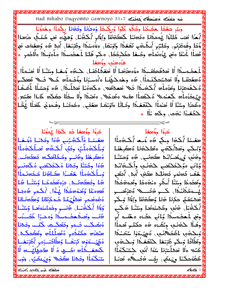Had Bshabo Daqyomto Gawnoyo 31-7 مَسْتُكُمْ مَعْتُكُمْ مَعْتُكُمْ مَعْتُ

وسِّرِ حمَّحُل هجَيجُمُل وحُكَّفٍ جَاوُلٍ وُرِجِّيجًا وُءِدَٰئِلٍ وِحُقِوْلٍ رِجُّهِ أَلِ وَهُوَذُمُ أَهْرًا مُنِ خَالمُوا بِهُحِدَّنَا ودُونَنَا لِكَعِدَةِسْا وِإِوَّارٍ أَكْرَةُ الْحَوْيَةِ مِ حَسْكَة حَرْهَا ا ِّفُطُ وِهُوصَّبُرٌ. وِحُلْبُرٍ أَحِكْمَوْهِ نَعْمُكُمْ وَآوُتَهْلٍ. وَوُّوسُكُمْ وِكَبُتِمْلٍ. أَبِكِ هُو وُمِكَوْفَ هِي أَهْمَا الْمُنْا هِ هَيْ مُوَادَّة وِكَـمُا حَكْدِحُطًا. مِكْرِ فَامًا الْـمثَمِسكَا مِلَٰهَوِّـدًا ملَاخُمر \* فأوهنُم، ووُههُا

لْمَحْـوسِكُا لَا تَعكَفَصَكُنَّـدِكُمْ وَوُوهِ وَوَصَوْتُحَـلَ لَا تَعَعَّمُلَكُنَّـلٍ. حَـــرَهُو وَمصْل فَل كشوا ل كَعِمْحَسُّا وِلَا تَعِمْمُحِكْنُـماً!. ۞ه وِهُمَحْجُهُـا ه/هُمْـبُرُا وَوُحُـمأَهِ كَــلا شَــلا مُعجَـل كَحْفُومُ لَا ومُتَوَمِّلُو الْكُلُومُ مَا أَحُلا مَعْدَمُدِد. مِكْوَمُهُمْ مَدْلَمُدًا. ۞ وُحِسَنًا لَمُمَعُط هِ بَعْنُواْهِ كَعِنُهِ لَا كَمَنْ الْمَرْحَةِ الْمَرْجَةِ وَمُعَنَّمَ إِلَّا سِجُلًا حَمْدُهِ كَامًا هَمَّتُم هِ هَدُا وِمَنْنَا لَا هُنُماُا حَنْفَعُـدًا وِحُـاتْلِ هَآوَتِهْـلِ هِعْفَ\_. هِ هُوحُـدُ اللَّهُ وَفَسحفه للق لِكَمُنْزَا مُثَوَّبٍ وِكَّدِهِ مُأَا ﴾

- هُوذًا وِذُهَمًا خُم حُكْرًا لِهَ ذُمَّا همُسُا وَٱلْحُوَّيِّبِ وَوَٰهُ وَهَمُا وَقُوْمَا وۡبِٱلۡدَّةُوآٰئِي وِتُمۡ ٱلۡدَّةَۥ مَسَلَّكُۖرَةُواْلَ ەُمكېغْلا وەڭسو وگىڭاگىگە كىنگەنب. هَٰهُا وِكَمَنْا وِتَكْلَا هُكْلَكُنب هُكُلُونَت وْسَلَّكْرُهُمْلَا هَقَسْزًا مِثْمَارَةَ لَا شَدُرُونَسْمِلَا هَا وَحُمْدُهُ مَا . دَرُهَ هُدُه هُـ أَ مَّ مَنْتُ الْمَا كَعْدَهِ مَنْ الْمُؤْمَرِينَ وَالْمُؤْمَنَ الْمُحْمَرِ وَالْمَحْمَدِينَ هَْهُوهُدوبِ هَدُوَّيُّهُا خُدْجَرُّالُا وُمِدُوبُالْا وَوَّا ٱكْتَوْسَا. وَّسْرِ وِحُمَاءِ مُعَاطِّرِ وَعَتْسَا وَّلَّــا وَقُدامُــمَــْمِيدُا وَمَـدَءُا لَكَـــرَّب ةُنْمَنْكُسا شُدْوٍ وِتُعُلِّكُنَّكَ لِكْتُسَا وِتْحَاتَلَ هنّهأزه حكّنْكُمور وَمُعطّلَلَه ومُعَصّكة. فَكَيْسَقْوْهِ يُرْتَفْسَا وُهْلَاكْتَسْرُە بِي أَكْرُبْتْسَار لَّكْتَعَمُّـــدُّلَّانَ رَبِّـــدَّةَ لَلْ مَرَّحَمُّلِيَّـــدَّةَ لَلْ مُتَكَمُلًا وَحْمَلْا مِكْشَلًا وُوَيْبَعْضَرُو. وُوُب

تمنافهم بالمحركم بالم تكلفكخ

خْرِدُا وَذَهِمْا هِمُسُلاً أَحْدُهُ! وِلَّى هُ٥ وُلَّى أَحْدَهُ؟ أَ وَّاسْكُمْ وْهُدَا، ذْتَقْمْ هَعْلَىكْلْهَا هَ هَجَمْشَا كِلْبُ وَكِـنُـكْتُعْبِ لِـدْهُنَّــهِ وِلَّـنُّــْهُ/نُـكْ ـَهَقَد; كَاهِنُم وَ كَاهَدُ اللَّهُ مَلَّكُمْ ﴾ [الله]. أَحَقَّبَ وكَعْدُمُا ومَنْنَا أَمكُر مَنْهُممُا وكَعْمَةَدُاً لْمِــەَتْݣَانْكُمَا. ݣْــــو ھُگىـــىلا كَاھۇڭغىـــو ِ ثَعِدْمَنْشَيْ حَدَّرُنَا هُ نَا وُهِجُوْتَ اللَّهُ وَإِوَّآاً وَمِحْدِ أَكْتَٰهُمْا. هُنُو، وكَمْسُومُدا وسُنْدا هُكْب وقع الْعَصُمبِيدًا وَلَمْ بِي حَصَّرَهِ مِكْتُبِيهِ أَبِي وفُـاْا للَّهُنَّــهِ وكُمُّــ;ه هُه حَكْنُـُـو هُــهـاُا وُكْتُوهِ لِمَحْكَمَّاتُو . وَحَيَّتَوْا مَتَصَكُّا ومَعلَلَتْنَا وُحْكِرٍ هَبْتُهَا كَنْقَعُكُمَا وُحْدِيَّةٍ كَمُلا مِلْا مُعْلَمَتْبُوْلَا مِّمَّا أَنُّو حَمَّتَكُمُاْلِ كَتْقَادِكْمْا مِيْبِكُمْ. رَضِّي مَتْحَمَّلْهُمْ مُتَدَّلِّ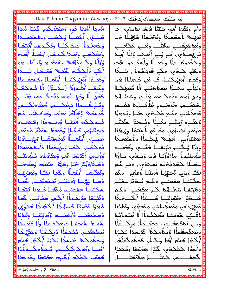Had Bshabo Daqyomto Gawnoyo 31-7 مَشْكُمْ Karara بَعْدُكُمْ بَعْدَ اللَّهُ Had Bshabo Daqyomto Gawnoyo 31-7

هَ وَجِلٍ أَمُّذِيْلٍ شَوْ وَمِنْجَنِّكُونٍ كَنْتَنَا وَجْزَا تَعْسَسُ فَلَمْ أَمَنُكُمْ الْمُحْسَنَةِ وَحَدَّ حَقْدَهُمْ الْمَرْأَةُ الْمُسْتَدَارَ وَحُدُونَــٰهِ أَلَّا حُـٰجَـٰہِـٰٓكُـٰہِ وَفُكُـٰدِهُـٰ ٱلۡرُّبَٰهَـٰ ۖ ۖ وتَعِنُكْتُعِبِ وتَعِيكُمُ/كَمْعَبٍ. أَيَنُصَلًا أَتَعُد وُلْمُلُمْ وِحْدِهِ كَلِّكُلْهُ وَعْقَفْصُلُهِ وَأَسْتُهُلُّ وَّهُ أَكُمْ ةَأَحْكُمْ كَفَحْلا كَقُمُعْلَى سُمَّا وَدَّدَ أَنَّ يَحْسَلُ أَسْمَلُّا وَحَسَّدَهُ وَا وكَنفُ، أُهُدوَوُّا (مَذَّرَا) أَلَّا شُدَكْمَه كَعْدِيكْسْ وْقَدْسَوْهِ وْقُفْحْسَمْعْ وْݣْسْبْ وِصَّةً مِصَّلًا حَرِّهُكُـــمِ وَ مَعَصَّلاَـــمِ خُمْهَكُمْ وَكُلَّاتْنَا مُمْمَّد وَمُنَعَّلَاتُ لَحْمَ ضُمككُم أَنُصْلُ وُءنُدهوُا وعُعثَف م وَّرْجِئْنُوْمِ جَنَّجْراً وُجُودِرَا حَعَيْنَا هُومُدِر هسسلّ. أَسْمِيلًا هَدَ هُتَتْمَيل وُئِي هَانَا ثَمِكْتُمِينِ حَكْسَ وُجِهْجُمَاْلُ وَٱلْمُحْتَمَمُّالِ وَوَّأَمَّوْمِ أَكْبُتَهَا هَٰلَو وْمِدَّهُشُو شَدَّومَنَّكَ هُكَىدًا}هُؤُمَّا رَهُمَّا وِكَلِوَّاْ مِكَعْنُونَ وْمِكْوَسَّ وهُكْنُف, أَعْلَمْلًا وكَعْدَا بِكْتْبَا وْتَعْفُهُت ةُدا مَنْ إِلَّ وَمُسْتَدا مُحَدَّمُكِ . كَعُدا مكتشا ممحسًى مُكْعًا حُدَّثَا تَبَعْا هُكَبْتَمْا حَبَّبْشُمْلَا أَنْكُمِرِ مِكْرَضًى. خَفْدا هُوْوْا هُدْوِسْلَا حُسلَهُمَّا أَحْدُهُ هُا تَعْدَوْكُم ةَ تُعطَّحِقُف وَأَحْقَقَصُدِ وَخَزَوُغْنَا وَحْلَانًا حَزْبَ أَلْ هُوصُهُ لَ صُحُكَتُهِ أَلْمَ أَنْ كُلَّهُ وَلَا تُحَكَّمُوا مُمكِّمَعُبٍ. كَحُدِّهُ أَنْ مُ جَدَّمُ الْمُ وَحَدَّى كَمَارَ وَحِدَّهِ حَدًا هَبَعْدًا يُحَبِّهُ أَحْدَا أَهْتَم أمحا ومحكر ككسور صُحدُه كمائرًا كُعِمَد لِلْكُلُّهِ أَلَّمُتَتَرَهِ مِلْهُتَمِمَّا وَحُمِيْهِمْ

ه/ُم وِكْتُمَاءُ أَلَّهِ حَمَّتْنَا هُـهَا تَمْسأَهِ. كُرِ تَعَيْنَ الْمَعْمَدًا وِدُقَنَمَاً دَاجْنَا هُ وثندكمقب سقتُسا وثنب تُكتَعب اتَرِيَّحَــدُّهِ. کَــِ وَجِي ٱمَّـٰهَـدِ وُالْمَالِ اَلِــهِ وُحْدُّدُوْخُشُـداُ وِخُعْــاُ وِلْمَعْـُـدِفِ وَّدَ هَمْهُمْ لَحْدَةُهِ وَلَكُمْ هُوَمُّتُمَاً }. تُنْسَلُا وكُصَتْرَا أُونِيَكْسًا. كُمْ ثُمَّ شِيهَا اللَّهُ وَسَيْنَا اللَّهُ وْنَزْلَبِ سِلَّاتْزَا تَعْمَلُواكُبِ أَلَّا كَتْعَهُكُمْلَا وقبيءها وقمكنوها هُلُنور وسُعِمُنالُكَ لكُعفُسمر هكُمونُسمر كُللُكُسلُك فقُسمو |مُعطَلَوْب مكَـع ثَــْــوهُ) حَتَّـٰا وِنُــهووُا أَوُحكَــرِه ۚ رَحِنُنُـــرِ حَكَــرِـهُ! وحُـــمحَـٰٓا حَمَّحُنْنَــا هُ مُعْمَرٍ تَمْسَأُوبٍ. وَكُرٍ ثَقِ لَمُعَنَّتُهَا وَيُهَوَّنَا هَدْمَنْزُوبِ . هُدُبُ لِمَ شَدَمُ*اْ* الْمَقْعَدُا وإِوّْا وُكْبِ هُبْتُهْا هُنُّــهِ وكُوْبَــهِ حَزْهِمْنُـمِلَا هِلْمُؤْمِّـٰ هُـٰ وُحِـهُمِ حِـلَّةُٱلْ معَّدَ الْمُحَمَّدُهُ لَهُ تَعْلَمُونَ وَكُمْ يَكُمْ ىڭنَّا وُجَى ەَحْسِّيْ قُومْنُنَا وُفْعَى وَ مِكْم مكتشا مكحسّب مكم كذقا سكتُا ەھَبْتقا سَّھنانُه كىر مۇنۇبى. ەكم هُـــوْوْا وَهُدْوِيْتَــا كَســأَلَمَا أَكْـــوْهُ الْمَا هذا أشكل متحفظ من المستحقة المستحركة المستحدث لْقُرِّبِ هُوصُلا حَعُلاَشُواْ لَا مُحْدَدُانَ وْبِ نْمْضُعْفْ وِ. حَضْنُهُ أَيْرَ مَنْ الْمُسْتَمَرُّ وتَعطَفُعُفُما وَحِدُوحِكُمَا هُبُعِجًا عُجَبًا |أَلْحُدُّا هَٰنِكُمْ أَمُّا وِنُحْبِلُرِ كَحِدْهِ حُمْلَافٌ. أَه أَهْمَا لَحَثَكَ ثَمَنٍ لَمُنْتَزَا مِدَّةٌ تَعْمَا وَكُتْعُدُ إِ 

تمنافهم بالمحركم بالم تكلفكخ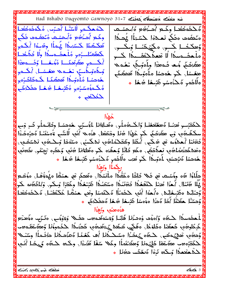Had Bshabo Daqyomto Gawnoyo 31-7 مَنْهُمْ مَعْتُمُ Had Bshabo Daqyomto Gawnoyo 31-7 كەھگەب لا*متتى اكرُ*ب. ەُگەھُەھُ*ك*ا كَحْدَمُعُعُدا وَحُد أَحَدُّوُهِ وَٱسْعَفْ وكُم أَصَرُهُمْ وَٱمْعِسُمْ وَٱحْفُوهَا فُكُمْ وَكَحْقُوبَ وَهَكُمْ تَعْدَوْا كَمَنْهُ إِلَى الْمُحَدَّا مَكْتَصَنَّا كَسَّنِيمًا يُبْدَأَ وَهُنْدًا أَنْكُمْ وَهكْشُا حُبِرٍ. مَكَّتِكْنَا وُحْسِرٍ. لْحَمَّعَمَّا ِ ثُمْ مِثْـــوسِكَا وَلَا كُكُنْفَــا وَلَعْشَدُوسُمَا لَا تَعْمَلُهُكُمُّــَمَّا لَكْتَبِ أكمي مكْبِمُسْدَأَ ةُزُمْسَا وَثُمْسَارِ وَثَسْمَعَتْنَا مِلْهُ;كُنَّى وُجِعَا كُدْمَتْزَا وِلَمْوَمِيكَ آجَدُدِ ۇبلادۇبلايىكى ئىشتەنلارىقىشىل آنگىمېر همُسُلَ كُلِّ هُوصُلَ وَلَوْمِكَا هُوصُكُلِّ هُوصُل وُلُووُلُمَا هُهِمَّنَا كُلُوكَاكُبُوبِ ەللۇمر كىلائەس كېگىل ئەلگا چ ةَ كُـەزُەسْبُوپ ەُكَبُرْهَا ھُـهَـا حَثَّلاَكَــ لمُلْكُب \* تمار للْكُتَبُسِرِ مُنسُلٍ هُمَعَنَّعْمُنْـل وُالْحُــرُهُملُرٍ. مَعْـارْانْل لمُوَّسنِّي ـهُوصسُـل وِكَالُــملُر كُــر وْب سكْكُموهُ و مِ مِكْرَحُمٌ ۚ كُلٍّ عَهْزًا هُلَّا وِحْتَمْعَا ۚ فَزُه ۞ أَلْقَ الْشَّبِ وَُّمِئْنُنَا هُجْوَجُد دُقَانَا أَهْلَؤُو هُمْ هُكُمْ. أَمَطُّا وهُقَكْمُاهُو لَالْكُسُّى. مَنْفَصًا وُحْكَوُو لَاسْفُوب. ەتىدىكت ئەلمۇمە تىمكاتتىم . مكىر گاتا ۇ مگازە مىلى ئىمازاتا ، ئەنى ۇ دڭرە تركىبار. ئۇ مەنى هُدَهَا، ذَٰلاَحِسُّهِ، لَمَاوُمِكُا لَكُنْ هُذَا وَلَلْثَمْنِ ذَكْرُومُنُنِ كَبُرْهَا، هُا ﴾ حلَّلَوُا هُو وِؤْسُمِ هَو ثَلا كَاتّْا وشُكَّا ولَّتَسُكُا. وقَعكُر هي هسُتَّا ويُووُّقَـا. وؤْهَـع لِمُلَا هَٰنُمَالِ. أَهْزَا هُزِمًا حَكَفَهُمَا دُوْنُمُمَا مَمْعَمُمًا هَبْتِهُمَا وِخَتْرًا وُحكو. وْالمَحْم وَصُلَهُ مَكَبُـمُلَهُ. وأَحَمَّا أَنُو حَكَمَنُا وَحْكَمَنَا وَمَع حَمْقُا خُخْفَقُنَا. وَحَكَمقُوا وَحِمَتْنَا حَفَكْتُنَا أَحُا هَجَزًا وَذُومَنَا كَبَيْحًا شَجًّا وَحَفَكَاكَ ﴾ فأوهنُم، وزُفِزًا لْمَحُّمِيثُهُ! ۖ نَذْتُهُمْ وَاهْوُفْ وُمِصَرُّنُا ۖ فَائْتَا وُوَمُّعَظَّمُوهِ ۖ حَصُّلًا ۖ وُوَوُؤْب وكرَّمِين مؤهنَّوهِ كَبِكَاوِهُم، كَمكَمُا مكَاوَكَا. مَفَكَى مُكَمَمٌ يَجَمَّدهُم، كَحَبَكُا لِكَدُووَٰنُا وَهمَنْقَصُوم وَحِثَى مَعْلَى مَعْلَى مِنْ الْمُحَدِّدُ الْمُحَسِّدُ الْحَسُّرُ مِنْ حَقَّ الْمَسْلَامِ مِنْ الْمَ لْكُنْتَرُه هِ مَلْحَمَّةٍ كَلْهُمَا وَعِكْدُنَاهُ إِلَيْهِمْ الْمُؤْشَرَاءِ. وَكَنْ كَلْمَ مَسْكَمَ لِلْمُعْتَدِمُ أَرْمَدُهُ لَرْهَ أَمْتَكَتَبَ دَهُلًا ﴾

تلاءُمْ مِنْ الْمُ مِنْ تَلْفُلْتُ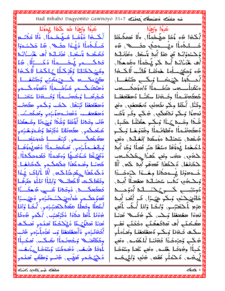Had Bshabo Daqyomto Gawnoyo 31-7 مَسْتَكْبَر بَعْضُكُمْ Had Bshabo Daqyomto Gawnoyo 31-7

هْرِذًا وَرَّدًا هُو حُكْرًا لِمَوْمًا أَحْدَدُهُ الْأَوْصُلِ صُجِّحَصَةُ الْمِلَاءُ وَالْمُحَمَّدِ صَلَّحْفُمَاْ وَيُـٰهَا حَضَـٰهِ . هَٰذَ صَحْبَتَـٰهَوْا دُهُمَهُدِ وَمُسْهَدٍ وَمُرْسَلَهُمْ أُفِ هَزُسْأَنَّهُمْ وصَّحْكَمُاتًا وَفَرْكَبِلَهُ يَهْلَكُمْهَا لَلْكُوهَا مالك المنتصر وبنضر كسك وكتنا ةَ مَكْمُرْكْسُمْ وَحُزَّضُنَّمْ}ا الْمُحَمَّوَةِ مَكْسَمْر كَجْرَهُكُمْ وُحُدُونُكُمْ أَرْكُسُوْنَا عَنْقَسْمَا ةُمكَمَّعْمُنَا تَبْتَقَا. كَصُب وْكُمْ مِكْمَرْ ةُ هَهُهُمْ ... ، ، وَ هُدَنُده وَ يَرْهِ بِهِ وَ هُدَكُمْ يَزْبَ الأَنَّبِ وَشَمَانًا أَزَّكْنَا وَتُّهَا وَجِهَانًا وصُعفَتُنَا ئَعَنَّفْسَلُمْسٍ. مَذَاهَلُالًا ةَكَرْهَا وَهُــةَوَـمَّـرَّةَ وَ مَعْتَمْ حَمْدًا حَمْدٍ . تَبْتَمْ الْمُعْمَوْ مُنْعَمَدَ الْمَسْمَدَ وُبِالْعُــٰـٰٰءلُـٰٓوُمِ . مُنمُّخْــُـٰفِلًا ۚ ةُشَارُفُــٰدِ وَهَيْ قُطْ شَمَّعْكُمْ وَوَهُدِهِ أَلْ كُعُدِدِكُمْ الْ كُروسًا وقُدمَكُوُّا مِكْعكُدْمِ لِكُوكُرْتُهُا. <mark>ا</mark> هُكُمكُمُ الْمُسْتَمِينَ إِنْكُمْ مَنْ الْمُسْتَمِينَ الْمُكَمَّدَةَ وكُعَلِّكُـبِّ لَلْكُعَلِّكُ وْاَلِمْلَا ٱلْمُلْوَ صَدِّصًا دُهدُهدَكَــــــمْ. هُوشَهْنَا هَــــــي هُــمدَّــــزَّا أَسْوَيْنَكُمْ وَهُوْ وَيُوْجَدُ مِنْهُمْ وَهُوَيُ وَالْمَحْمَدِينَ أَسَّحلًا وتَعدَلُه حَقَدَ كَعَبَرَ وَمِن أَحَدًا وُائَا رُّهُمْلَ لَمُوْلِ هَدَّا وُكَرِّهُنَّتِ. أَنْكُمْ رَهُوطُل مُدْمَّا مُدَفِّيُ مَّا مُكْكَمَّا مُعتَمِّ مُسَكَّف أَخْوَّضُوْمِ وَأَهْكَفَهُمْ وَ مُنْوَاجِئُومِ وَأَفْرَى وَكَكَاكَتْمَلَّا وُحُدُونُـدَاْ لِمُعَكَّسَاءِ مُحَكِّيدًا لَمُؤْتَلَ فَبُنَفَتِ، ةُهُدَكْتُمْ وُعَدَّةَ كَلَّى أَمْكُنَّةَ ةُ كَيْݣُوبْرْ مُلْهُبْ ﴾ . هُنْسِرْ وْهَفْكُمْ مُعْشُوبْ

هْدُوْلُ وَرُهْزَالُ أَخْذُهُ! هُو ذُكْرِ حكْحَفُواْ. وَلَا مْعَكَمْتُنَا وَحِــْشَهُوانُـهِ هَي هنا أَبِهِ وَّسْعَا. هِمْتُكَـلَّـهُ أَهِ هُزُمُرُكُمْ أَمِمْ كُنْ يُمِشُمَلًا مَقْمَعُمَّا. هُه وُحقِّيْـــأها ـهُوصُّــا فَاتَـْبِ لَلْكُــهُا أحسكُومُ حَيْيَسُمَا وُحَكَّبٍ حَتَّتْهُــا. أوككنك سوم حزَحْسوا أواووْحدْسيوم كَعِدُوسُواْلِ وحُسِوْتَا سِمَّتُ وَاحِمَّعَكُمْ الْمُحَمَّد وَكْتُا. أَمَكْنَا وِحْدٍ بِكَمِّقَ وَيَعْمَعُهُمْ. وَهَيْ أَ ثُوهوُا وُلكُو لَكَاهُكُوبٌ. هُكُو وَكُمْ وَكُتَبَ |تُحِمْل وصْحِكَ لِمَنْل وُحِكْمٍ حَقَيْتُهِ حَكْمِهِ. |ەَمدَّەسُّـْمَاْ | ەھَاۋَائـْماْ | وِهُدَوُـهْـا وُـكْــو هُ مِثْعَظٍ. مَعْصُلَهُمْ هُوَ مَعْظِمْ إِنْكَلَهُمْ هُ هُو لْمُحْمَدِ لِمُوَّقَا مِمْغَا حَبِّ هُمَاًا وُحَّرَ أَبِهِ حمدلككر انْكُمْ بِمُوَ وَهُمْ مِنْهُمْ . وَهُمْهُ لْحَكّْرْتُغَا. كَلْحَكْمُوا مُعْمَوْمِ أَبِلَا لِحْمَدٍ. أَلَلا خُــوهُوُلُمْ لِـُــوهِـدُا وِـمُـــوْا كِرُوحُـــرْْا وُكِ وَهُ مَكْمٍ عَمْلَهُمْ مَعْصَلَهُمْ مَعْلَمَ الْمَرْبِينَ هُومَبِّيْب جُسْرِحِ حَمِيْنَ الْكُمْ أُهْوَجِسِيْمْ دْاَەْيْكِيْمَە وُلْحُر ھَيُمْ!. كَمْ أَهُدْ أَبِكَ أَهْرَمَ لَمَكْفَتَرْسِ. وُامْصًا وْاِبًا أَحَكَّبَ لَمُعَي تَوەڤا ھەھھىلا ۋىلى. گىر ھۇئىلا ھُزئا هَقَىتُمنَّى أَفْ تَعْدَكُمَقَنَّى هَكْنَنَى ثَقْب سكُكَ دُقَالَ وُلْكُمْ هُمْكَتْحَمْنَا وِهُدُّهَامُ |شُكْب وُحزَّەحُـٰٓ;ا دُقَسُّا ٱلْمُكَمَـٰء . هڤع كَبِلًا وِهُوْحُـا هُنُــه. وقع كُعْـا ومِنْوَصْـا صحْرِلِهِ وَمَاهُ . صَفَّهُ بِلْمُكُمْ . صَهْرٌ إ

سُنْهُمْ لَهُو بَاسَمَ مَنْ الْمُسْتَمَرَةَ بِمَا يَسْتَمَرُونَ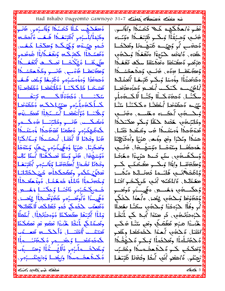Had Bshabo Daqyomto Gawnoyo 31-7 مَسْتَكْتُمْ مَتَعَلِّكُمْ Had Bshabo Daqyomto Gawnoyo 31-7

ةُهكَدُهُــا كَـلَّا كُتْفَـنُدًّا وَوَّأَسْوُهر. هُنْـر وكَبْوْلَمْلِلُسْبُومِ أَكْبُتْكُمُّا كَنْفُسْ وَٱحْشَدُّ ئُدو دَيْنَ وَلَيْكُمْ وَمُتَدَّلْ لَمُهُـب. وَكُعِسْكِلْمَا لَكُمْ كُلُمْ وَتَعَمَّلُهُ الْمُؤْمَنَةِ وَفَيْ كُفْسًا وَيُكْتَبَ أَمْسَكَسِفَ أَنْتَقَفْ وَأَ وُهِدَهُتَهُمُ اللَّهُ مَنْ بِهُ تَسْبَرُ وَخَلَّاهَ صَدْمًا ةَحواهُدًا وَوَوْومَنْتَرُونِ وَكَبُنِكُمْ وَتَقْفَ كَنِكْتَ كشها كالكتتا وْكَأْتْعْعْدَا وْكَعْلَاهِتْزَا مَكْتَـــــــــار. هُكُوُّةُلاَكْـــــــو تُرْتَفْـــــــا كْسالْكْرُەملار مىسى بالمىگە ئىككتەتقىل وَ الْكَتْبَ وَوَأَتَعُفْكَ أَيْمَ الْمَجْلَا أَ مُعْكَبَةٍ وَهِ ەْئىگىپ. ھَتْبْر وڭاتْبْتْما ھەگىمر الْمَمْلِكُبُومِ وَهَقَّصًا هُقَوَّهَ حَدًّا وُوسُئُسْمًا رَّهُمْا وَحْمْنَا لَا أَحْتَا. أَحْمَنْحَمَّا وَحَدَّاكُمْ ا ومُمَكِّرْمًا. هَزُمُّا وُهِ فَيَذْبَوْهِ يَهْلَىٰ وَمِّقَاهَا ةُؤْمَنْجُوْاً. وَكَانِ وَمِثَلَا تَعْمَلْكَمَالَ أَمِثَلَا كَالَكَ وثكلي لُغُمرْل أُمكّتوسٌا وَوْأَسِّومِ أَكْبَتْسَا تَعْدُوْيُ سَكُمْ وَمُحَكَّدَاْنَ شَيْكَذَابُنَا. وَحِدُونَــوا ٱلْمَالَمَ: دَهَــمَــٰــا . وَوَجْـمعَدْــدا ا ضُمرِكْبَضَرْمِرِ ۚ ةَٱصُلَّا وُحِكْسًا وَحُسَـٰهِ . وَّكَى أَوْ أُوهُدْوُهِ وَ أَوْ وُقُدْ وَلَا لِمُكْتَبَةٍ وَ ةُهُممُت لِلشَّمَلِّي ثُمو فُعَلِيْكُم لَالْمُعَلَّمَلا وْلِمَاۤا الْآتِنْقَا مِنْصَحْكَمَّا ةُوْءِدْتُكِيْلَايا ۚ ٱمْتَعَلَّا وكَسَمَاجٌ إِنَّكَ هُزْتُوا مُعْصَمٍ مَنْ مَعْمَكْمُا كَتَنْتُبْ أَأْتَنْتَ لِ وَأَكْكَ وَ كُمْ وَب لَّدَدُهُكُمْ إِلَيْهُمْ بِمَعْ وَلَّذَٰ يَكُوكُنَّـُ وَلَٰٓ لَٰٓ وَلَٰٓ عَلَيْهِ وَلَٰٓ ا وُخْلاخٌـــداُخُوم وَٱللْهُـــتَدْاُ وَهمْـــــروُّب وَمُكَمِّدَهُمْــــــمِيكَا وَرُبِعُنَـــا وَوَرْحِنَّنَــــرُوب

بحناأبلاء كالمخط سأله بحلفكة

تَعْبِ ةَاهِكُمْكُمْ وَ كَلا كُتْمَنّْكُمْ! وَاوّْأَسِرَ. الْمَائِمِ وَحَبَّرْتُمُا وُحَكَّرَ هُبُتُمْكُمَا وَوُعُدُه هُدهَبِ أَبِر وَجَهْدٍ هُتَهْدِمًا ومُللصًا لَهُدَهِ ﴾ أَوْضُم لِكُوةٌ أَ مَنْفَعُدًا وُلِكُمْ وَالْمَحْمَدُ مُ مَرْضَى وَهَدَّهُمْ وَهُدَّمَنْسًا سَكُفَّ نَفْعُدًا الْمُسْتَعْصَلْ رَوَّهُ . وَهُوَ الْمُسْتَمَامِيَّةَ الْمُسْتَمَامَةَ الْمُسْتَمَامَةِ الْمُسْتَمَام ەكْلاَتْتىنُلُّا وِذُەمْلا وُمكْن كَبُنْتَهَا ٱتَّصْلَلْكَمْ أَلْمَيْ مِنْ كُتْكُسْ أَنْعُسُهِ وَجَوْوَهُوَا وَالْمُسْتَدَارِ سكَتُّــا. هُدهُّة كُــلًا وكُتُــا لَّاكْـــهُملُو سَّيِّ وَحَكَّدَهُمْ أَعْمَٰنَا وَحَكَّنَّا عَشَا أَوْمِلْــــوْهِ لِأَلْكَــــزه هكْنُســـه . ه هُنْـــه بِ وْحَاتِبْتُوهُمْ حَمْصُدْ حَكْثُلُ وَحَكْبِ مِكْتَحَكُلُا كَحْتَمْحَكُمْ ذُهِمْنُـمِكُمْ هُـ وِعَْمَعُـكُمْ تَنْنُـلْ. هِمُمَا وَكُلُّمَا وَهُمْ وَوُسُمْ. هَزُيًا وَأَهْلَتْهِمَّا هُوَحِكْمُــا وِمُتَوْتَــا وَوُسْهُـــوْا فِي الْمَسْمَى وَسَكُفُتُوهُمْ. سَكِّ كَتَبْهُ حَرَّيْتَهُ مَغَرْضًا وَهَدَّةَسَّلَ وَإِوَّا وَحَكَّ مَقَنَّصَفَّ كُلُّ وَلَمُحْلَائِمِ فَانُــما دُونُــابُمْ وَيُمْـــز ، مَعْمُلُكُمْ. هُ/لمَّكُمْ أَنُـمٍ كَرِجْمَحُـو ٱخْنَـلْ أَوُّدَهُوُهُا وُحْدُهُم هُمُدَ. ه/ُعْمَا حَدَّكُمْ إِلَٰہِ وِقَالَ كَبِرْهِكَ ٱوْحَكَّامِ مِنْقَضًا بِعَصَلَا | كَزُهِ حَتَّلَتْهُونَ . كَرِ هَيْدًا أَبِيهِ لَكُنْ لَمُنْشَأ إِلَّمَنْتِ الْمَامِ مَفَقِيمٌ وَمَن مَثْلِ هُكُبٍ أَتْتُمْلُ. هَٰكُمُورٍ /ُعُمُا كَثَمَعُعُكُمْ وِكَعُب أَهْكَمُنَىلُماْ! وكَعَكْدَاْ! وُمكْسِ هُكَهُتُكُا ۖ أَوَّتَعَكَّمَـٰٓ كُــرٍ هُكَــاْهِـقَــٰءِمِناْا وِخُصَّامِـ أَرْجِئْنِي. هَ/هِعْدِ أَنَّهِ أَمْدًا وِدُةَ لَا هَبَّتْهَـا  $\sqrt{4\pi^2}$  5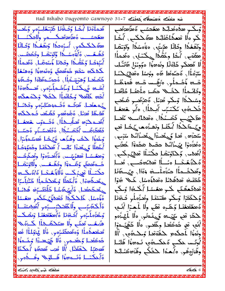Had Bshabo Daqyomto Gawnoyo 31-7 مَشْكُمْ Karara بَعْدُكُمْ بَعْدَ اللَّهُ Had Bshabo Daqyomto Gawnoyo 31-7 كَعملْهْ لْمُكْلّْمُ وَحُدَّةُ لَا كَبُنْكَاكُوم وَعَقْبَ وُمِكْسٍ هَذَهُ هُدَلَنَدٌ هَهُجَمَّى هُ هُزُهَرْهُمِ محكمتسب ةمؤمرهبكسمر وللمكنسل كْبِر وْلَا مْعَمْلَاهُلْلُمْ مْتَوَكّْلْبِي. أَحْلَا مَتَعَظِّكُمُونَ أُسْرُّدَهُمْ وَتَعَشُّدُا وَكَاتَنَا وِنُفَعُدًا وِدَٰاتًا هَزَىَّ وَوَّٰهَ مُنَا وَأَوْتَهَا ۖ دُكَّىمٌـــــ، ۚ ةُ أُوُّه مُـــدًا ۚ وَٱوۡتِكَـــا ۚ وِدُهُصَّــبِ. الْمَصَوْمِ . /ُمُمَّا وِخْتُمُا حَكَّمَا . وَهُدَهُ ا أُمَّوْحُـل وُخُثُمُّل وقَـهَنَّل وُمِئْمَشَـل. هُ هُمِماً ا لَا مُعدِكَبِ كَاهُتْلَ وِنُوهِ وُوْ ووُوبُرُل هَ تُشَاب لَكُمْكُمْ مْثُمْ خُوَفُعْهُمْ وُوتُوهُوْا وُوقْتُهَا مِتْزَهُ أَلِّ هَ حَمَّدَهُ اللَّهُ وَوُسُلْهِ هَوْ الْمَحْمَدُ الْمُسَامَعُ كَثّْمَنْصًا وُقَرْبَتْنُمْ}اً. وُحدَّتْ وَهُدَاهُ الْمُحَدِّدُوْ أَصْبَهِ ۖ وَّحُسَمَلُنِ ۚ هُ رُفِّسَ شَبْهِ ۖ فَوَوْ كُلُسَا أَصْدَ فَيَحْسُلُ وُخُصُوبُوْوِدٍ. مُصَدِّدة ا أُودَانُـداًا ۖ حَشَــه حَمَّــ; داُهنُــا حَامَّــا أَدْهِ كَامَلا وُخَالُهِ}ُ لِكُلا وَكَامِلا وسُلْكُمَا وُلِكُو مُنْزَلَ. وَهُزَمَٰنِي هُنَّكِب يُمعَعُما. مُدَكَّــه ةُشُــه;همَّائِهِم وتَّــدَّـــا ثَكْتُوهِ كَكْتَبُتْ أَبِكْلًا. وأَبْرِ هَعْصًا كَتَابْطُا مُدْيَا. ةَهُدَّهُم كُمُنَّف شُمْلَكُلُه هلَالمُنِي كُتْفَــِمُلَالٌ. هَ هَلاَلمَ الْمَصْــلا كَتُفَــل أَهُده حَرْوه هُدابُكْمَاً. ةُدَّدَوُبْ هَعْهُــا وعهَ لَكُرُ لَهُ مِنْكُمْ الْمُكَافِرُ وَالْمُكَانَ فِي الْمُكَافِرُ وَالْمَ ئْتّْمَدّْدَتّْكَسْتُبْدّْلُ. ةْتّْقْسَسّْتُو ةْصّْب بجِبَنْه 1⁄4 أَسْتَصْرِ ابْنَسْتَرْرِهْ لَمَهْ . 2⁄4 مَنْصَدْ وُبِنُووُا لِكُمَّا وِقْتُهَا وَكَكُمَّا هُوَمَّنُووُيْزَا. أومُعْزُووْا بِيُسْأَلُكُمْ حَضْكُ عَجَوْزًا لَحُعَزَبٍ أَعْكَمَاً فَيَكْتَبَهُ الْأَسْتَرَاءِ شَكَّرَاءُ وَحَدَوْدَ الْمَتَدَارَ أَهْلَم وَلَادُوْتَهْا حَكْتَلًا هَلَى كُبِ وَ وْهِمُسُلَّ هُدْمُ مِّـــ، ۚ هُ أَهُدْ: وَوَا ۖ وَقُدِكُرِكَــب ەَحْتَمَمْسَــا ەسْــاُل ھَمْكُمْحَـــى. مُـــا دُّےمُعمَدٌ وَكُدَوْٓا وِدُكُمُّے. وِلَاأَوْتَكَا وهَكِشُماً الصُّوْمانِ مِنَّاهِ وَمَالَ مِنْ مِنْ الْمَرْسَلَةِ مكتىلًا مْدِيرُكْب وْلَارْجُمْحْبا وْاوْحْد كَتْتْبَةْ مْلاَفْلاْمْا هْدْلَوْمْمْا. ݣْݣْ هُوْا حَمْدُهُ الْمِصْكَمَةِ لِلْعَمَلَاءِ وَالْمَسْتَمِينَ أَهْلاَكُمفَنَّى لَكُمْ هُمُسًا أَيْكُلُّهُ أَ وَلَكُم لَّــْمَــْ مَنْ تَلْقَلْتَ لَــنْهُ شِيْءٌ وَلَــٰهُ مِنْ مَــٰهُ مِنْ مِنْ مِنْ وَكَكْتَرَا وُحْكِرٍ هَنّسْنَا وِهُـزَّه لُرٍ حُـزَهَ لَا ةُؤْمِمُا. ݣْلْحْكَيْرَا خْقْجْتّْكِيمُكُمْ مْقْسَا ةَأَحْدَهُمَ بِ وَلَا حَمَّتَكَ سِؤِهِ وَلَا مُعَاشَدًا هُمْكَمْكُمُنْهُ وَحَكَّرِهِ مْكُلٍّ وَلَا لَمِسْرًا أَنَّبَ وَعُذُه أُمرُه لا أَكْتَوْنَا ۚ وَالْمَحْتَحَمُنَا وَنَعُمَّكَ بْهَنَّ لَهُمْ مَيْنَ مِنْ مَسْرَبْهِ مِنْ أَعْكَمُ فَرْحَمَ مَعْنَى وَلَا مِسْلَكَتِكَ الْكُرْهَ أَنُّهِ ۚ ثَمِ خُومُعُمَا وِكُعُصِ. وَلَا كُفَّيْحَوْا مَّدْتَعْمَدُه أَلَ وُهَ هُدْعَكْنُوْهِ بِ ۚ وَلَٰلَ يُؤْمِّلُهُ لَّا هُدَ وِثُوُوْا لْمُحِكُّمِ حَجَّةَ هَا وُحَكِّوُهِ . أَلَّا دُّەھُھُــا وُحقُـــەر.ِ. قَالْ كَيْـعَـــٰٓزَا وُحتُــٰدوُّا أَوُلَــْسَــْمَـلَّــِي هُـنَكَــْـةُوبَ شَــْدَهُوُا كَانُــا، مُدهَبُط حَدْثَمُثْلِ. أَلَّل مُدِب مُحصَّو أَحكَمُل |وفَزْوَفُو. ه/ُههُا لِحْثُكُمْ وِفَّزْهِقَمْلَهُمْ ةُ/ُحكَّسْطِ ةُسُدْهُوْا كَسَاوْجًا ۖ وِكُسَمُومٍ.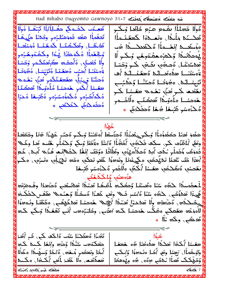End Bshabo Daqyomto Gawnoyo 31-7 مَسْتُكُمْ Katarina تَعْتُكُمْ بَعْيَاتِكُمْ بَعْيَاتِكُمْ بَعْيَات كُعِمِّم حَدُّدِكُمْ دَفَالِهُ} أَمْ تَقْطَلُوْ وَالْمُنْشَرِينَ وَالْمُتَقَالُ دُولًا خَمِلْلًا بِمُحَمِّ صَرْمِ كَامُحًا وُحكْبِ لَعَفُوبُهُ الْمَعُم خُوهِمُا وَمِنْ وَشَمْلَا حَيْهُمَا كَعْكَسْكُمْ وَلَمْحَالٍ. وتَعْكُدْهَا كَعْجَمْتُهِ أَلْ كَتَرْحُمُهَا. وكَتْحَمَّمُهَا كَمَعْشَا وُوْسُعُهَا وْمِعْدِ الْمُسْمِلَٰا وَكَحْدَكُمَا وَي وَبِالْعُمِلَا ۚ هُكُمِحْتُوْا ۖ إِيَّـهُا ۚ وِكُخُنْهُومِكُبِرُورٍ لْمِحَمَّنُكُمْ كَحَدَّە مِمَّتَومَّى كَرْحَكُمْ لَل ولَا دُهْسَلٌ. ةَ/ُحصُّه مَضَرِمُسَكَّمِرٍ وَتَسْأَ تَعْطَمُنْ مُنْكُلِّ. هُدْهُو مُنْ هُدْ مُنْ مَنْ مُحَمَّلِ وَحَسَل َوْْمِسُّنَّا أُحِبُ ۚ هُمِعَشَا ۚ فَتُرْتَبِسَاً. ۚ هُهُوْشَا وْهِمْنُنْسَا مِدْهِ مُسَانُمْ هُمْهُمُسَانُمْ أُف هُحَسَّمَا وَلِ}ِي مِعْمَعْمَىْكُمْ مُنَى تَعْدَىٰ الْمُنَامَّةَ تَّبْسُلَنَّهُ. وَهُوْصًا هُحِمَّتْ أَوْحَدَّتْ مِ حَمَّسُا أَلَكُم ِ هُوصُا وَلَمَوْلِكَا مُحْمَضُنَا بَقْعَمَهُ لَكُنْ يُؤْمِنُ الْقَسْمَةِ الْمَسْتَمَاءُ لَكُنْتِي ةَ ݣُه/ْكُبُومِ ۚ فَكُووُهِ شَبْوِمٍ ۚ فَكُبُـِـهَا ۚ قُحْبُا ـهُدمسُــا هَادَوُـدًا هُتَمَمَّــُــ هَالَاَــُــد ةُحثُه لِمَكْم لِمُلْكُلِمٍ \* ەَكْزُەمْبِر هُبُعْل ھُڪْل مُحَشَّلَاتٌ ﴾ هفُو مُنْنَا حَمُدُوْهِ الْمَوْسَلِيلِ الْمَسْتَمَالُ الْمَسْتَمَامِ الْمَسْتَمَامَ وَالْمَسْتَمَالِ وَالْمَسْ وِثْقَ ٱلْمُكْبَد لَحْرٍ. سَكُد ثُلَّـرْهُورٍ ٱخْتُفَلًا وَاشْا هَوَّخْنَا وُسَحِّ وَحَكَابُرٍ هَنَسه مُدا وكَــلا ثَموهَم وَحُملُو مُكْتِ أَبِي مَحكُلُولِيَّو، ومَطَلَقْا وَوَّصَّد إِنْعَا لِحَفَيْ اللَّهُ فَنَيْهِ أَبِيهِ. كَتَرَ أَهْتَزَا تَعْبُ نَّعْمَا لَمْلَكِمَةَ مِكْمَةً لَهُمْ مَعْلَمًا وَمُعَلِّمَةً مِنْ مَكْسَرَةً مِنْ أ لَعُصِبُهِ وَيُمَكِّشُهِ مِعْسَا أَكْتُهُ، وَلَاحُورِ وَكَانُوسُرِ وَيُبْعَا فأوهنُم وَالْمُذَهُبُ لْمَحْمِىمُا كَلَّهُمْ مِّمُا مَعْسَىُلًا وُحِكْكُمْ لَمُعْكَلِ مُحْتَمَّا ثَعْلَاتُسَعْبِ مُحْتَّقِدُا وفُحكرُته َفَّيْءَا مَٰذَوَّكُم . حَدَّه مِّمُا ٱاْسُبِ شَلًّا وَمَع خَفْءًا ٱسْتُلَّا وَحَسَّمَا ۖ مَفْقَى حَثَكَـ نَه لِجَمحِكُم . هُدْهِيْم وِلَا هُدَحَرْلِ مُحْتَدًا أَرْضِيه هُوصِيًا هُدَكَّدِهُب . وكَتَمْتَنَا وِنُوهؤا للْمَوْجْهِ هِمُعَكَّبٍ مَعُكَّبٍ هُوَصِبًا كُلُّهِ ٱهْزَىبٍ. وِكَاتَبُرُوهِبْ أَنَّبِ نُقْفُذُا وُكِّي كَلُّه أَهْدَهُ فَلا وَكُلُّهُ مُمَّالًا ﴾ لَهُمْ أَهْلَامُ اللَّهَ وَالْكُفْ لَكُنْ كُلَّ أَهُدَ ههُسُا أَحْدُهُ ا مَحِجًا هِجُوهُنَا هُو هَعِهَا حَقْظٌةهم مَتَنُمُّا وَجْرَه وإنْعُا كَمِيمْ كَتْمَ ٱمۡحًا وۡتَعۡثَمَو ۖ وَۡعۡهُم ﴾ [الحُا وَۡسَوۡعَا ا هَـكَٰهُ ا وَٱوۡعَٰۡهَٰٓاٗا ۚ. ۚ رَسۡمَا ۖ وَتَٰلَّى أَکُّا ۚ دَنَّـهُۥ وَٱوۡ وَّاِسَكَب تَعْمَلُهُمُو. وَلَا يُقْدَ لَمُهْمَ أَيْكُمُوا. وَكَمْدَ وُتَـهْكُـكُ مُعامًا مُكْتَبِ هِمَّهِ. هَٰهِ وِيَٰهِعَمَّا تلناهم بالخطر بمهذ تطفلخ